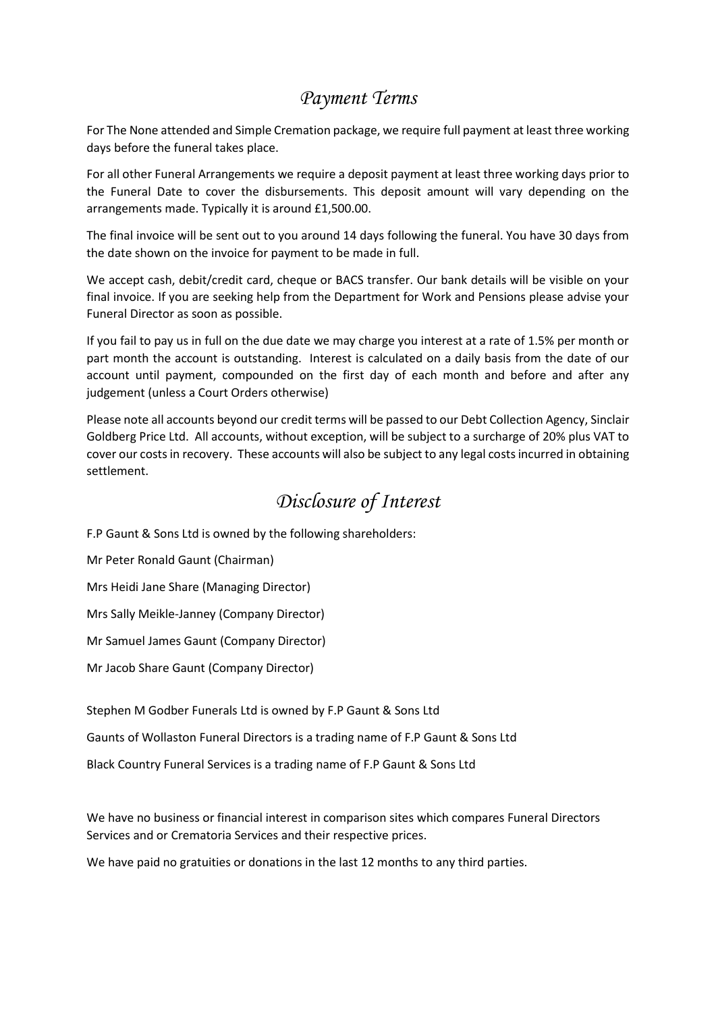## *Payment Terms*

For The None attended and Simple Cremation package, we require full payment at least three working days before the funeral takes place.

For all other Funeral Arrangements we require a deposit payment at least three working days prior to the Funeral Date to cover the disbursements. This deposit amount will vary depending on the arrangements made. Typically it is around £1,500.00.

The final invoice will be sent out to you around 14 days following the funeral. You have 30 days from the date shown on the invoice for payment to be made in full.

We accept cash, debit/credit card, cheque or BACS transfer. Our bank details will be visible on your final invoice. If you are seeking help from the Department for Work and Pensions please advise your Funeral Director as soon as possible.

If you fail to pay us in full on the due date we may charge you interest at a rate of 1.5% per month or part month the account is outstanding. Interest is calculated on a daily basis from the date of our account until payment, compounded on the first day of each month and before and after any judgement (unless a Court Orders otherwise)

Please note all accounts beyond our credit terms will be passed to our Debt Collection Agency, Sinclair Goldberg Price Ltd. All accounts, without exception, will be subject to a surcharge of 20% plus VAT to cover our costs in recovery. These accounts will also be subject to any legal costs incurred in obtaining settlement.

## *Disclosure of Interest*

F.P Gaunt & Sons Ltd is owned by the following shareholders:

Mr Peter Ronald Gaunt (Chairman)

Mrs Heidi Jane Share (Managing Director)

Mrs Sally Meikle-Janney (Company Director)

Mr Samuel James Gaunt (Company Director)

Mr Jacob Share Gaunt (Company Director)

Stephen M Godber Funerals Ltd is owned by F.P Gaunt & Sons Ltd

Gaunts of Wollaston Funeral Directors is a trading name of F.P Gaunt & Sons Ltd

Black Country Funeral Services is a trading name of F.P Gaunt & Sons Ltd

We have no business or financial interest in comparison sites which compares Funeral Directors Services and or Crematoria Services and their respective prices.

We have paid no gratuities or donations in the last 12 months to any third parties.